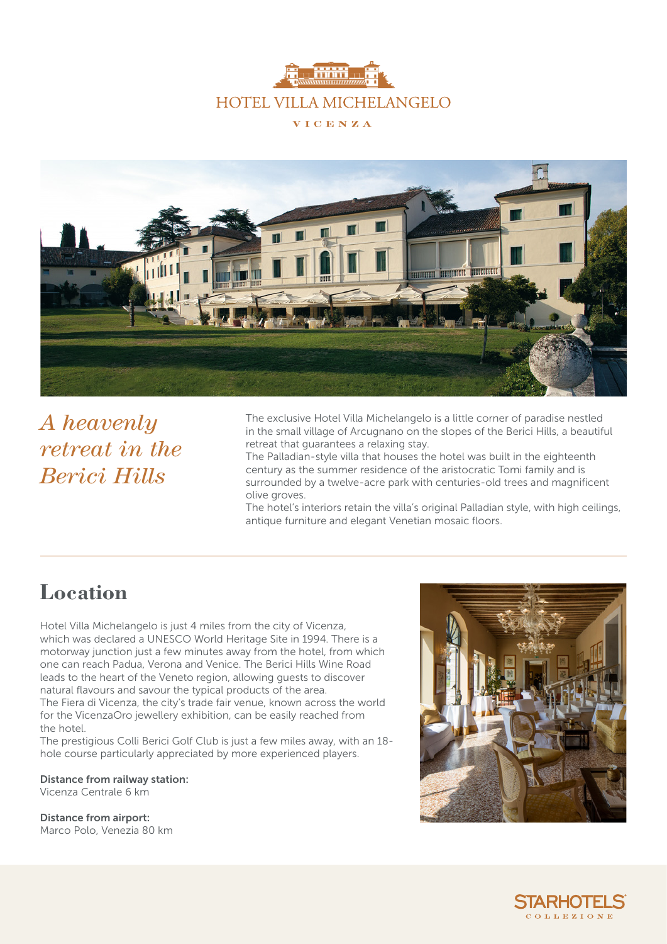



*A heavenly retreat in the Berici Hills*

The exclusive Hotel Villa Michelangelo is a little corner of paradise nestled in the small village of Arcugnano on the slopes of the Berici Hills, a beautiful retreat that guarantees a relaxing stay.

The Palladian-style villa that houses the hotel was built in the eighteenth century as the summer residence of the aristocratic Tomi family and is surrounded by a twelve-acre park with centuries-old trees and magnificent olive groves.

The hotel's interiors retain the villa's original Palladian style, with high ceilings, antique furniture and elegant Venetian mosaic floors.

#### **Location**

Hotel Villa Michelangelo is just 4 miles from the city of Vicenza, which was declared a UNESCO World Heritage Site in 1994. There is a motorway junction just a few minutes away from the hotel, from which one can reach Padua, Verona and Venice. The Berici Hills Wine Road leads to the heart of the Veneto region, allowing guests to discover natural flavours and savour the typical products of the area. The Fiera di Vicenza, the city's trade fair venue, known across the world for the VicenzaOro jewellery exhibition, can be easily reached from the hotel.

The prestigious Colli Berici Golf Club is just a few miles away, with an 18 hole course particularly appreciated by more experienced players.

Distance from railway station: Vicenza Centrale 6 km

Distance from airport: Marco Polo, Venezia 80 km

![](_page_0_Picture_11.jpeg)

![](_page_0_Picture_12.jpeg)